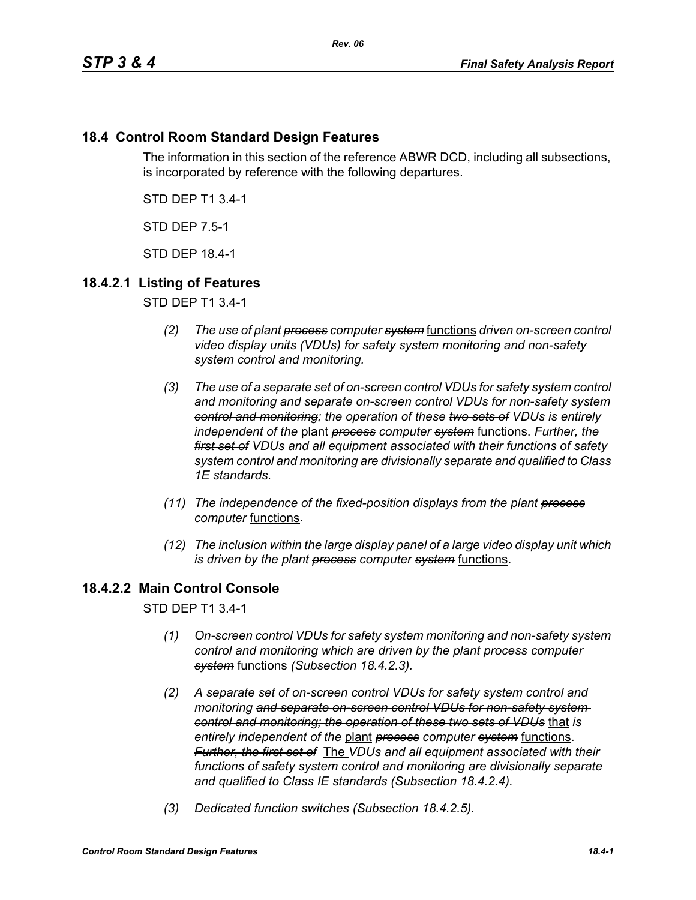## **18.4 Control Room Standard Design Features**

The information in this section of the reference ABWR DCD, including all subsections, is incorporated by reference with the following departures.

STD DEP T1 3.4-1

STD DEP 7.5-1

STD DEP 18.4-1

## **18.4.2.1 Listing of Features**

STD DEP T1 3.4-1

- *(2) The use of plant process computer system* functions *driven on-screen control video display units (VDUs) for safety system monitoring and non-safety system control and monitoring.*
- *(3) The use of a separate set of on-screen control VDUs for safety system control and monitoring and separate on-screen control VDUs for non-safety system control and monitoring; the operation of these two sets of VDUs is entirely independent of the* plant *process computer system* functions. *Further, the first set of VDUs and all equipment associated with their functions of safety system control and monitoring are divisionally separate and qualified to Class 1E standards.*
- *(11) The independence of the fixed-position displays from the plant process computer* functions.
- *(12) The inclusion within the large display panel of a large video display unit which is driven by the plant process computer system* functions.

# **18.4.2.2 Main Control Console**

STD DEP T1 3.4-1

- *(1) On-screen control VDUs for safety system monitoring and non-safety system control and monitoring which are driven by the plant process computer system* functions *(Subsection 18.4.2.3).*
- *(2) A separate set of on-screen control VDUs for safety system control and monitoring and separate on-screen control VDUs for non-safety system control and monitoring; the operation of these two sets of VDUs* that *is entirely independent of the* plant *process computer system* functions. *Further, the first set of* The *VDUs and all equipment associated with their functions of safety system control and monitoring are divisionally separate and qualified to Class IE standards (Subsection 18.4.2.4).*
- *(3) Dedicated function switches (Subsection 18.4.2.5).*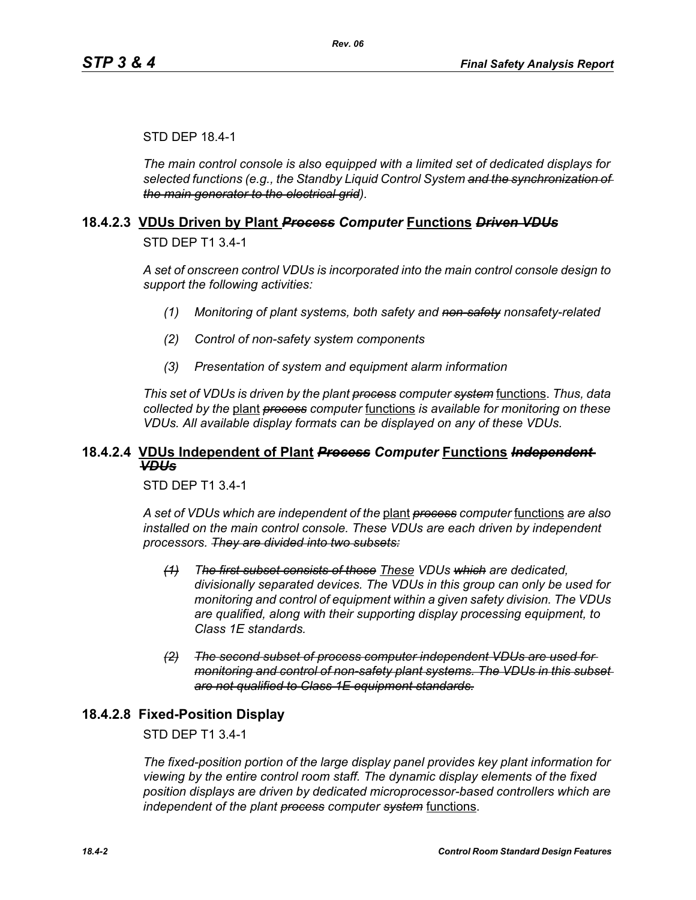#### STD DEP 18.4-1

*The main control console is also equipped with a limited set of dedicated displays for selected functions (e.g., the Standby Liquid Control System and the synchronization of the main generator to the electrical grid).*

#### **18.4.2.3 VDUs Driven by Plant** *Process Computer* **Functions** *Driven VDUs*

STD DEP T1 3.4-1

*A set of onscreen control VDUs is incorporated into the main control console design to support the following activities:*

- *(1) Monitoring of plant systems, both safety and non-safety nonsafety-related*
- *(2) Control of non-safety system components*
- *(3) Presentation of system and equipment alarm information*

*This set of VDUs is driven by the plant process computer system* functions. *Thus, data collected by the* plant *process computer* functions *is available for monitoring on these VDUs. All available display formats can be displayed on any of these VDUs.*

## **18.4.2.4 VDUs Independent of Plant** *Process Computer* **Functions** *Independent VDUs*

STD DEP T1 3.4-1

*A set of VDUs which are independent of the* plant *process computer* functions *are also installed on the main control console. These VDUs are each driven by independent processors. They are divided into two subsets:*

- *(1) The first subset consists of those These VDUs which are dedicated, divisionally separated devices. The VDUs in this group can only be used for monitoring and control of equipment within a given safety division. The VDUs are qualified, along with their supporting display processing equipment, to Class 1E standards.*
- *(2) The second subset of process computer independent VDUs are used for monitoring and control of non-safety plant systems. The VDUs in this subset are not qualified to Class 1E equipment standards.*

## **18.4.2.8 Fixed-Position Display**

#### STD DEP T1 3.4-1

*The fixed-position portion of the large display panel provides key plant information for viewing by the entire control room staff. The dynamic display elements of the fixed position displays are driven by dedicated microprocessor-based controllers which are independent of the plant process computer system* functions.